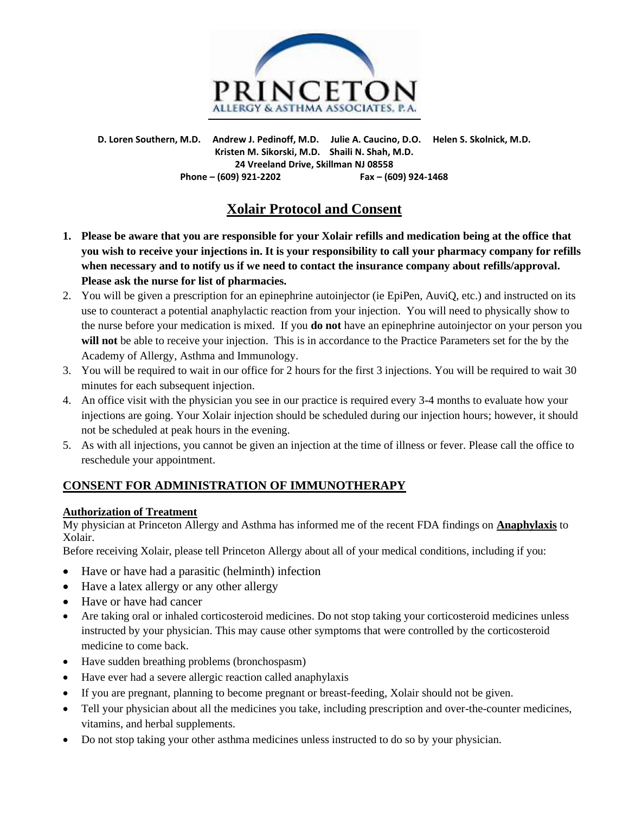

**D. Loren Southern, M.D. Andrew J. Pedinoff, M.D. Julie A. Caucino, D.O. Helen S. Skolnick, M.D. Kristen M. Sikorski, M.D. Shaili N. Shah, M.D. 24 Vreeland Drive, Skillman NJ 08558 Phone – (609) 921-2202 Fax – (609) 924-1468**

# **Xolair Protocol and Consent**

- **1. Please be aware that you are responsible for your Xolair refills and medication being at the office that you wish to receive your injections in. It is your responsibility to call your pharmacy company for refills when necessary and to notify us if we need to contact the insurance company about refills/approval. Please ask the nurse for list of pharmacies.**
- 2. You will be given a prescription for an epinephrine autoinjector (ie EpiPen, AuviQ, etc.) and instructed on its use to counteract a potential anaphylactic reaction from your injection. You will need to physically show to the nurse before your medication is mixed. If you **do not** have an epinephrine autoinjector on your person you **will not** be able to receive your injection. This is in accordance to the Practice Parameters set for the by the Academy of Allergy, Asthma and Immunology.
- 3. You will be required to wait in our office for 2 hours for the first 3 injections. You will be required to wait 30 minutes for each subsequent injection.
- 4. An office visit with the physician you see in our practice is required every 3-4 months to evaluate how your injections are going. Your Xolair injection should be scheduled during our injection hours; however, it should not be scheduled at peak hours in the evening.
- 5. As with all injections, you cannot be given an injection at the time of illness or fever. Please call the office to reschedule your appointment.

## **CONSENT FOR ADMINISTRATION OF IMMUNOTHERAPY**

### **Authorization of Treatment**

My physician at Princeton Allergy and Asthma has informed me of the recent FDA findings on **Anaphylaxis** to Xolair.

Before receiving Xolair, please tell Princeton Allergy about all of your medical conditions, including if you:

- Have or have had a parasitic (helminth) infection
- Have a latex allergy or any other allergy
- Have or have had cancer
- Are taking oral or inhaled corticosteroid medicines. Do not stop taking your corticosteroid medicines unless instructed by your physician. This may cause other symptoms that were controlled by the corticosteroid medicine to come back.
- Have sudden breathing problems (bronchospasm)
- Have ever had a severe allergic reaction called anaphylaxis
- If you are pregnant, planning to become pregnant or breast-feeding, Xolair should not be given.
- Tell your physician about all the medicines you take, including prescription and over-the-counter medicines, vitamins, and herbal supplements.
- Do not stop taking your other asthma medicines unless instructed to do so by your physician.